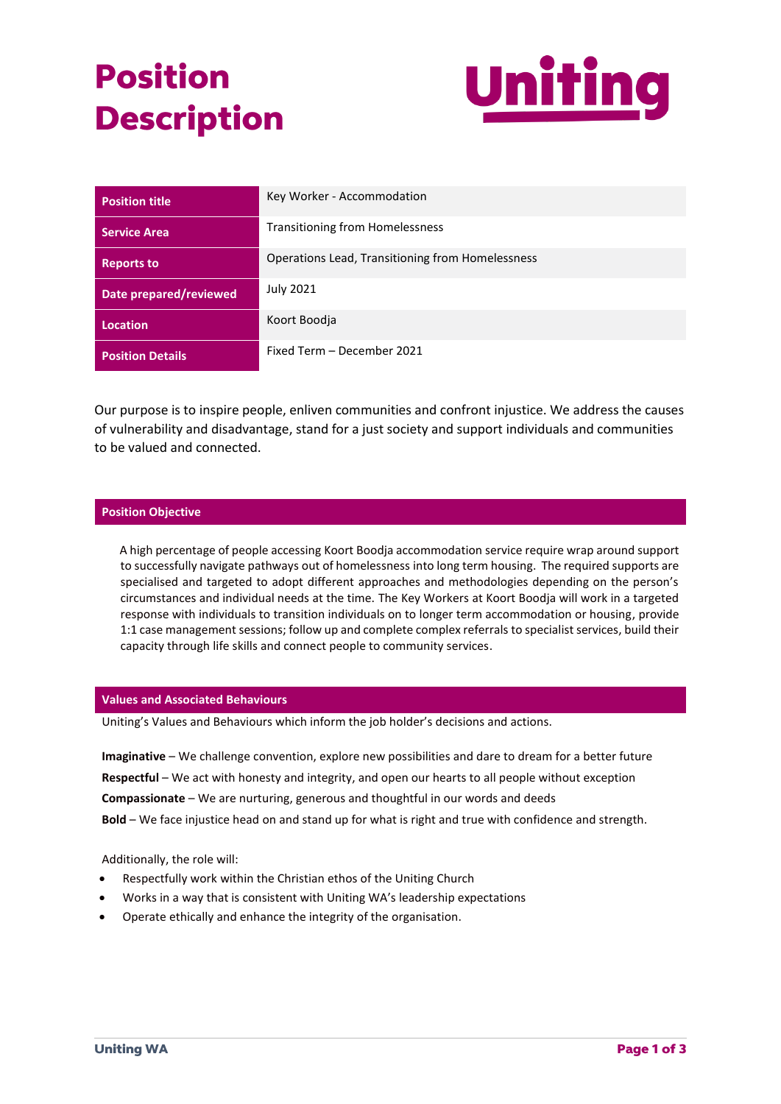# **Position Description**



| <b>Position title</b>         | Key Worker - Accommodation                       |
|-------------------------------|--------------------------------------------------|
| <b>Service Area</b>           | Transitioning from Homelessness                  |
| <b>Reports to</b>             | Operations Lead, Transitioning from Homelessness |
| <b>Date prepared/reviewed</b> | <b>July 2021</b>                                 |
| <b>Location</b>               | Koort Boodja                                     |
| <b>Position Details</b>       | Fixed Term - December 2021                       |

Our purpose is to inspire people, enliven communities and confront injustice. We address the causes of vulnerability and disadvantage, stand for a just society and support individuals and communities to be valued and connected.

## **Position Objective**

 A high percentage of people accessing Koort Boodja accommodation service require wrap around support to successfully navigate pathways out of homelessness into long term housing. The required supports are specialised and targeted to adopt different approaches and methodologies depending on the person's circumstances and individual needs at the time. The Key Workers at Koort Boodja will work in a targeted response with individuals to transition individuals on to longer term accommodation or housing, provide 1:1 case management sessions; follow up and complete complex referrals to specialist services, build their capacity through life skills and connect people to community services.

#### **Values and Associated Behaviours**

Uniting's Values and Behaviours which inform the job holder's decisions and actions.

**Imaginative** – We challenge convention, explore new possibilities and dare to dream for a better future **Respectful** – We act with honesty and integrity, and open our hearts to all people without exception **Compassionate** – We are nurturing, generous and thoughtful in our words and deeds **Bold** – We face injustice head on and stand up for what is right and true with confidence and strength.

Additionally, the role will:

- Respectfully work within the Christian ethos of the Uniting Church
- Works in a way that is consistent with Uniting WA's leadership expectations
- Operate ethically and enhance the integrity of the organisation.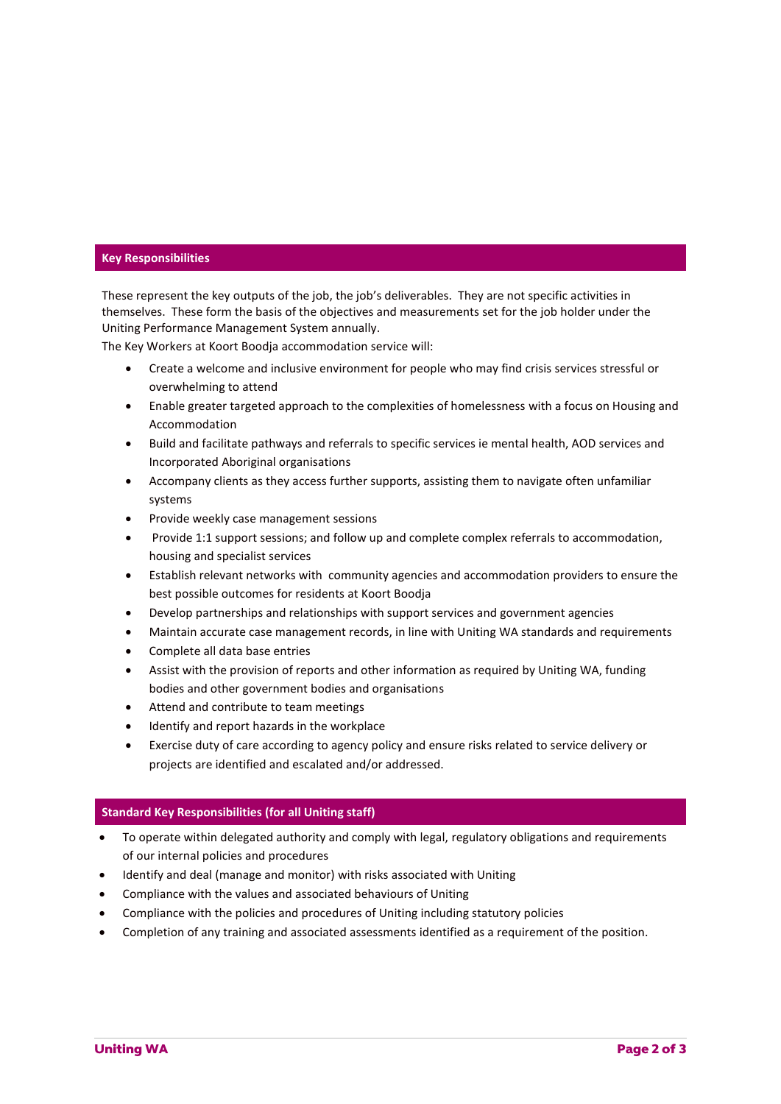### **Key Responsibilities**

These represent the key outputs of the job, the job's deliverables. They are not specific activities in themselves. These form the basis of the objectives and measurements set for the job holder under the Uniting Performance Management System annually.

The Key Workers at Koort Boodja accommodation service will:

- Create a welcome and inclusive environment for people who may find crisis services stressful or overwhelming to attend
- Enable greater targeted approach to the complexities of homelessness with a focus on Housing and Accommodation
- Build and facilitate pathways and referrals to specific services ie mental health, AOD services and Incorporated Aboriginal organisations
- Accompany clients as they access further supports, assisting them to navigate often unfamiliar systems
- Provide weekly case management sessions
- Provide 1:1 support sessions; and follow up and complete complex referrals to accommodation, housing and specialist services
- Establish relevant networks with community agencies and accommodation providers to ensure the best possible outcomes for residents at Koort Boodja
- Develop partnerships and relationships with support services and government agencies
- Maintain accurate case management records, in line with Uniting WA standards and requirements
- Complete all data base entries
- Assist with the provision of reports and other information as required by Uniting WA, funding bodies and other government bodies and organisations
- Attend and contribute to team meetings
- Identify and report hazards in the workplace
- Exercise duty of care according to agency policy and ensure risks related to service delivery or projects are identified and escalated and/or addressed.

#### **Standard Key Responsibilities (for all Uniting staff)**

- To operate within delegated authority and comply with legal, regulatory obligations and requirements of our internal policies and procedures
- Identify and deal (manage and monitor) with risks associated with Uniting
- Compliance with the values and associated behaviours of Uniting
- Compliance with the policies and procedures of Uniting including statutory policies
- Completion of any training and associated assessments identified as a requirement of the position.